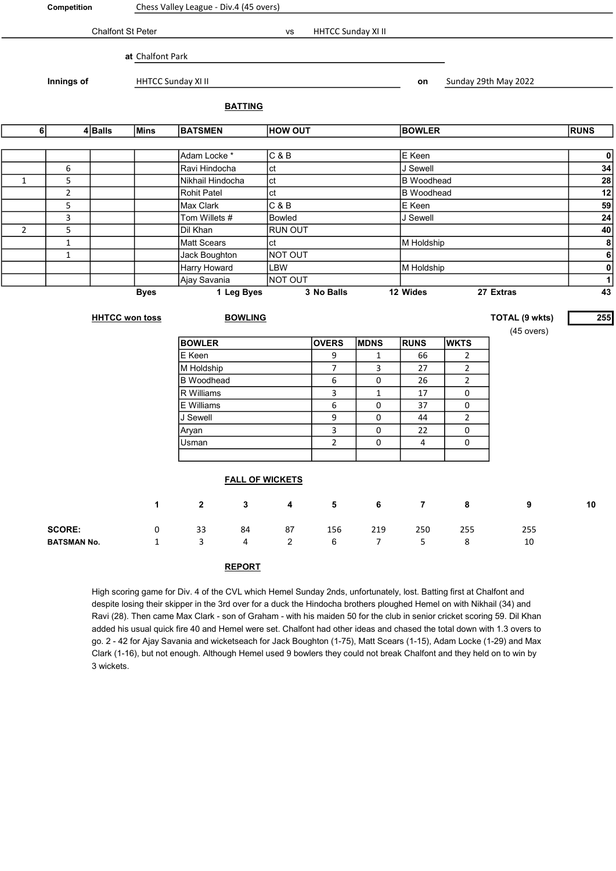| Competition                   |                                      |               | Chess Valley League - Div.4 (45 overs) |                                  |                        |                         |                |                |                |                   |                      |                         |  |
|-------------------------------|--------------------------------------|---------------|----------------------------------------|----------------------------------|------------------------|-------------------------|----------------|----------------|----------------|-------------------|----------------------|-------------------------|--|
| Chalfont St Peter             |                                      |               |                                        | HHTCC Sunday XI II<br>vs         |                        |                         |                |                |                |                   |                      |                         |  |
|                               |                                      |               |                                        |                                  |                        |                         |                |                |                |                   |                      |                         |  |
|                               |                                      |               | at Chalfont Park                       |                                  |                        |                         |                |                |                |                   |                      |                         |  |
| Innings of                    |                                      |               |                                        | HHTCC Sunday XI II               |                        |                         |                |                | on             |                   | Sunday 29th May 2022 |                         |  |
|                               | <b>BATTING</b>                       |               |                                        |                                  |                        |                         |                |                |                |                   |                      |                         |  |
| 6<br>$4$ Balls<br><b>Mins</b> |                                      |               |                                        | <b>HOW OUT</b><br><b>BATSMEN</b> |                        |                         |                |                |                | <b>BOWLER</b>     |                      | <b>RUNS</b>             |  |
|                               |                                      |               |                                        |                                  |                        |                         |                |                |                |                   |                      |                         |  |
|                               |                                      |               |                                        | Adam Locke*                      |                        | C & B                   |                |                | E Keen         |                   |                      | $\mathbf{0}$            |  |
|                               | 6                                    |               |                                        | Ravi Hindocha                    |                        | ct                      |                |                | J Sewell       |                   |                      | 34<br>28                |  |
| $\mathbf{1}$                  | 5                                    |               |                                        |                                  | ct<br>Nikhail Hindocha |                         |                |                |                | <b>B</b> Woodhead |                      |                         |  |
| $\overline{2}$                |                                      |               | ct<br><b>Rohit Patel</b>               |                                  |                        |                         |                |                | B Woodhead     |                   |                      |                         |  |
| 5                             |                                      |               | C & B<br>Max Clark                     |                                  |                        |                         |                | E Keen         |                |                   | 59                   |                         |  |
|                               | 3                                    | Tom Willets # |                                        |                                  |                        | <b>Bowled</b>           |                |                | J Sewell       |                   |                      | 24                      |  |
| $\overline{2}$                | 5                                    |               |                                        | Dil Khan                         |                        | <b>RUN OUT</b>          |                |                |                |                   |                      | 40                      |  |
|                               | $\mathbf 1$                          |               |                                        | Matt Scears                      |                        | ct                      |                |                | M Holdship     |                   |                      | $\boldsymbol{8}$        |  |
|                               | $\mathbf 1$                          |               |                                        | Jack Boughton                    |                        | NOT OUT                 |                |                |                |                   |                      | $\overline{\mathbf{6}}$ |  |
|                               |                                      |               |                                        | Harry Howard                     |                        | LBW                     |                |                | M Holdship     |                   |                      | $\overline{\mathbf{0}}$ |  |
|                               |                                      |               |                                        | Ajay Savania                     |                        | NOT OUT                 |                |                |                |                   |                      | $\overline{1}$          |  |
| <b>Byes</b>                   |                                      |               |                                        | 1 Leg Byes                       |                        |                         | 3 No Balls     |                | 12 Wides       |                   | 27 Extras            | 43                      |  |
| <b>HHTCC won toss</b>         |                                      |               |                                        | <b>BOWLING</b>                   |                        |                         |                |                |                |                   | TOTAL (9 wkts)       | 255                     |  |
|                               |                                      |               |                                        |                                  |                        |                         |                |                |                |                   | $(45$ overs)         |                         |  |
|                               |                                      |               |                                        | <b>BOWLER</b>                    |                        |                         | <b>OVERS</b>   | <b>MDNS</b>    | <b>RUNS</b>    | <b>WKTS</b>       |                      |                         |  |
|                               |                                      |               |                                        | E Keen                           |                        |                         | 9              | $\mathbf{1}$   | 66             | $\overline{2}$    |                      |                         |  |
|                               |                                      |               |                                        | M Holdship                       |                        |                         | $\overline{7}$ | 3              | 27             | $\overline{2}$    |                      |                         |  |
|                               |                                      |               |                                        | <b>B</b> Woodhead                |                        |                         | 6              | 0              | 26             | $\overline{2}$    |                      |                         |  |
|                               |                                      |               |                                        | R Williams                       |                        |                         | 3              | $\mathbf{1}$   | 17             | 0                 |                      |                         |  |
|                               |                                      |               |                                        | E Williams                       |                        |                         | 6              | 0              | 37             | 0                 |                      |                         |  |
|                               |                                      |               |                                        | J Sewell                         |                        |                         | 9              | 0              | 44             | $\overline{2}$    |                      |                         |  |
|                               |                                      |               |                                        | Aryan                            |                        |                         | 3              | 0              | 22             | 0                 |                      |                         |  |
|                               |                                      |               |                                        | Usman                            |                        |                         | $\overline{2}$ | 0              | 4              | 0                 |                      |                         |  |
|                               |                                      |               |                                        |                                  |                        |                         |                |                |                |                   |                      |                         |  |
| <b>FALL OF WICKETS</b>        |                                      |               |                                        |                                  |                        |                         |                |                |                |                   |                      |                         |  |
|                               |                                      |               | $\mathbf 1$                            | $\mathbf{2}$                     | $\mathbf{3}$           | $\overline{\mathbf{4}}$ | $5\phantom{a}$ | $6\phantom{a}$ | $\overline{7}$ | $\bf8$            | $\boldsymbol{9}$     | $10$                    |  |
|                               | <b>SCORE:</b><br>$\mathsf{O}\xspace$ |               |                                        | 33                               | 84                     | 87                      | 156            | 219            | 250            | 255               | 255                  |                         |  |
| <b>BATSMAN No.</b>            |                                      |               | $\mathbf{1}$                           | 3                                | 4                      | $\overline{c}$          | 6              | $\overline{7}$ | 5              | 8                 | 10                   |                         |  |
|                               |                                      |               |                                        |                                  |                        |                         |                |                |                |                   |                      |                         |  |

## REPORT

High scoring game for Div. 4 of the CVL which Hemel Sunday 2nds, unfortunately, lost. Batting first at Chalfont and despite losing their skipper in the 3rd over for a duck the Hindocha brothers ploughed Hemel on with Nikhail (34) and Ravi (28). Then came Max Clark - son of Graham - with his maiden 50 for the club in senior cricket scoring 59. Dil Khan added his usual quick fire 40 and Hemel were set. Chalfont had other ideas and chased the total down with 1.3 overs to go. 2 - 42 for Ajay Savania and wicketseach for Jack Boughton (1-75), Matt Scears (1-15), Adam Locke (1-29) and Max Clark (1-16), but not enough. Although Hemel used 9 bowlers they could not break Chalfont and they held on to win by 3 wickets.